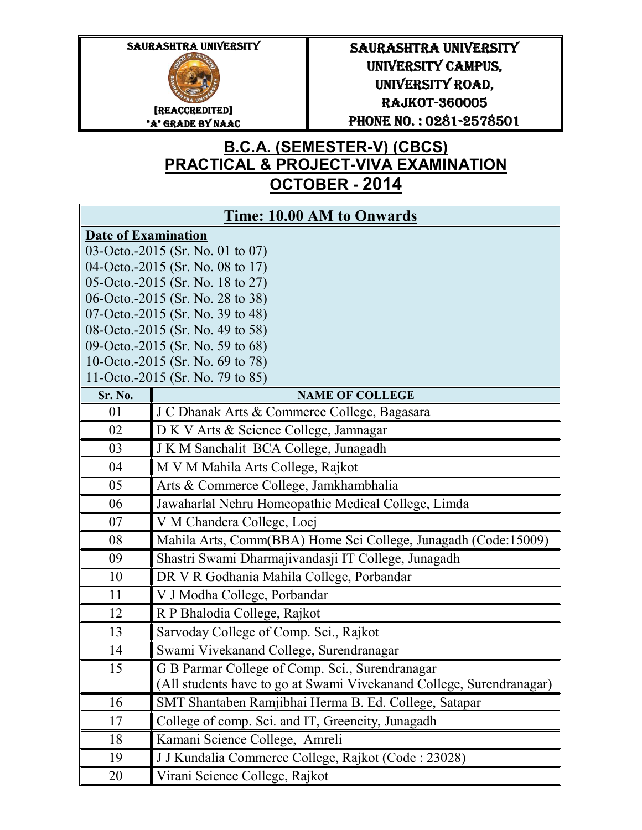

## SAURASHTRA UNIVERSITY UNIVERSITY CAMPUS, UNIVERSITY ROAD, UNIVERSITY ROAD, RAJKOT- RAJKOT-360005 PHONE NO.: 0281-2578501

## **B.C.A. (SEMESTER-V) (CBCS) PRACTICAL & PROJECT-VIVA EXAMINATION OCTOBER - 2014**

| Time: 10.00 AM to Onwards                                            |                                                                      |  |
|----------------------------------------------------------------------|----------------------------------------------------------------------|--|
| <b>Date of Examination</b>                                           |                                                                      |  |
| 03-Octo.-2015 (Sr. No. 01 to 07)                                     |                                                                      |  |
| 04-Octo.-2015 (Sr. No. 08 to 17)                                     |                                                                      |  |
| 05-Octo.-2015 (Sr. No. 18 to 27)                                     |                                                                      |  |
| 06-Octo.-2015 (Sr. No. 28 to 38)                                     |                                                                      |  |
| 07-Octo.-2015 (Sr. No. 39 to 48)                                     |                                                                      |  |
| 08-Octo.-2015 (Sr. No. 49 to 58)                                     |                                                                      |  |
|                                                                      | 09-Octo.-2015 (Sr. No. 59 to 68)                                     |  |
| 10-Octo.-2015 (Sr. No. 69 to 78)<br>11-Octo.-2015 (Sr. No. 79 to 85) |                                                                      |  |
| Sr. No.                                                              | <b>NAME OF COLLEGE</b>                                               |  |
| 01                                                                   | J C Dhanak Arts & Commerce College, Bagasara                         |  |
| 02                                                                   | D K V Arts & Science College, Jamnagar                               |  |
| 03                                                                   | J K M Sanchalit BCA College, Junagadh                                |  |
| 04                                                                   | M V M Mahila Arts College, Rajkot                                    |  |
| 05                                                                   | Arts & Commerce College, Jamkhambhalia                               |  |
| 06                                                                   | Jawaharlal Nehru Homeopathic Medical College, Limda                  |  |
| 07                                                                   | V M Chandera College, Loej                                           |  |
| 08                                                                   | Mahila Arts, Comm(BBA) Home Sci College, Junagadh (Code:15009)       |  |
| 09                                                                   | Shastri Swami Dharmajivandasji IT College, Junagadh                  |  |
| 10                                                                   | DR V R Godhania Mahila College, Porbandar                            |  |
| 11                                                                   | V J Modha College, Porbandar                                         |  |
| 12                                                                   | R P Bhalodia College, Rajkot                                         |  |
| 13                                                                   | Sarvoday College of Comp. Sci., Rajkot                               |  |
| 14                                                                   | Swami Vivekanand College, Surendranagar                              |  |
| 15                                                                   | G B Parmar College of Comp. Sci., Surendranagar                      |  |
|                                                                      | (All students have to go at Swami Vivekanand College, Surendranagar) |  |
| 16                                                                   | SMT Shantaben Ramjibhai Herma B. Ed. College, Satapar                |  |
| 17                                                                   | College of comp. Sci. and IT, Greencity, Junagadh                    |  |
| 18                                                                   | Kamani Science College, Amreli                                       |  |
| 19                                                                   | J J Kundalia Commerce College, Rajkot (Code : 23028)                 |  |
| 20                                                                   | Virani Science College, Rajkot                                       |  |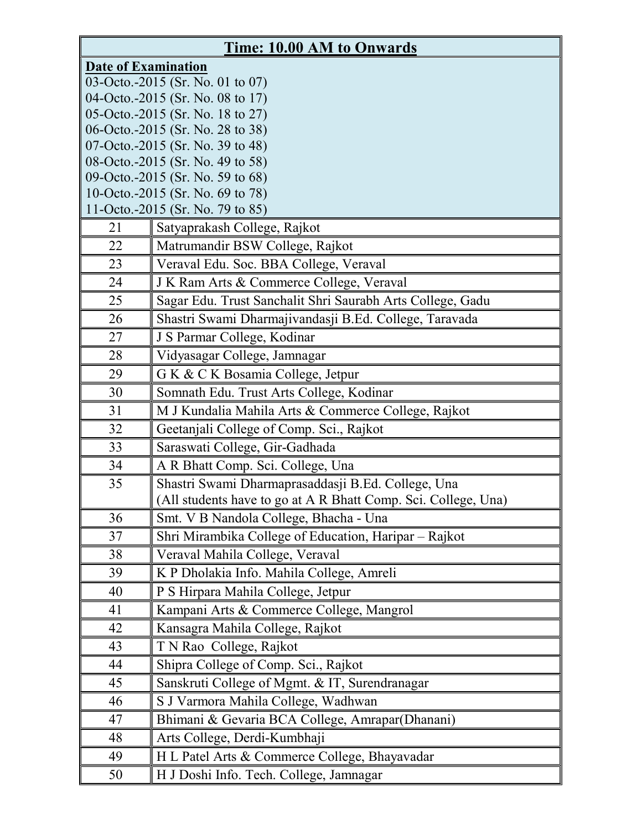| <b>Time: 10.00 AM to Onwards</b>                                     |                                                                |  |
|----------------------------------------------------------------------|----------------------------------------------------------------|--|
| <b>Date of Examination</b>                                           |                                                                |  |
| 03-Octo.-2015 (Sr. No. 01 to 07)                                     |                                                                |  |
|                                                                      | 04-Octo.-2015 (Sr. No. 08 to 17)                               |  |
| 05-Octo.-2015 (Sr. No. 18 to 27)                                     |                                                                |  |
| 06-Octo.-2015 (Sr. No. 28 to 38)                                     |                                                                |  |
| 07-Octo.-2015 (Sr. No. 39 to 48)<br>08-Octo.-2015 (Sr. No. 49 to 58) |                                                                |  |
| 09-Octo.-2015 (Sr. No. 59 to 68)                                     |                                                                |  |
| 10-Octo.-2015 (Sr. No. 69 to 78)                                     |                                                                |  |
|                                                                      | 11-Octo.-2015 (Sr. No. 79 to 85)                               |  |
| 21                                                                   | Satyaprakash College, Rajkot                                   |  |
| 22                                                                   | Matrumandir BSW College, Rajkot                                |  |
| 23                                                                   | Veraval Edu. Soc. BBA College, Veraval                         |  |
| 24                                                                   | J K Ram Arts & Commerce College, Veraval                       |  |
| 25                                                                   | Sagar Edu. Trust Sanchalit Shri Saurabh Arts College, Gadu     |  |
| 26                                                                   | Shastri Swami Dharmajivandasji B.Ed. College, Taravada         |  |
| 27                                                                   | J S Parmar College, Kodinar                                    |  |
| 28                                                                   | Vidyasagar College, Jamnagar                                   |  |
| 29                                                                   | G K & C K Bosamia College, Jetpur                              |  |
| 30                                                                   | Somnath Edu. Trust Arts College, Kodinar                       |  |
| 31                                                                   | M J Kundalia Mahila Arts & Commerce College, Rajkot            |  |
| 32                                                                   | Geetanjali College of Comp. Sci., Rajkot                       |  |
| 33                                                                   | Saraswati College, Gir-Gadhada                                 |  |
| 34                                                                   | A R Bhatt Comp. Sci. College, Una                              |  |
| 35                                                                   | Shastri Swami Dharmaprasaddasji B.Ed. College, Una             |  |
|                                                                      | (All students have to go at A R Bhatt Comp. Sci. College, Una) |  |
| 36                                                                   | Smt. V B Nandola College, Bhacha - Una                         |  |
| 37                                                                   | Shri Mirambika College of Education, Haripar - Rajkot          |  |
| 38                                                                   | Veraval Mahila College, Veraval                                |  |
| 39                                                                   | K P Dholakia Info. Mahila College, Amreli                      |  |
| 40                                                                   | P S Hirpara Mahila College, Jetpur                             |  |
| 41                                                                   | Kampani Arts & Commerce College, Mangrol                       |  |
| 42                                                                   | Kansagra Mahila College, Rajkot                                |  |
| 43                                                                   | T N Rao College, Rajkot                                        |  |
| 44                                                                   | Shipra College of Comp. Sci., Rajkot                           |  |
| 45                                                                   | Sanskruti College of Mgmt. & IT, Surendranagar                 |  |
| 46                                                                   | S J Varmora Mahila College, Wadhwan                            |  |
| 47                                                                   | Bhimani & Gevaria BCA College, Amrapar(Dhanani)                |  |
| 48                                                                   | Arts College, Derdi-Kumbhaji                                   |  |
| 49                                                                   | H L Patel Arts & Commerce College, Bhayavadar                  |  |
| 50                                                                   | H J Doshi Info. Tech. College, Jamnagar                        |  |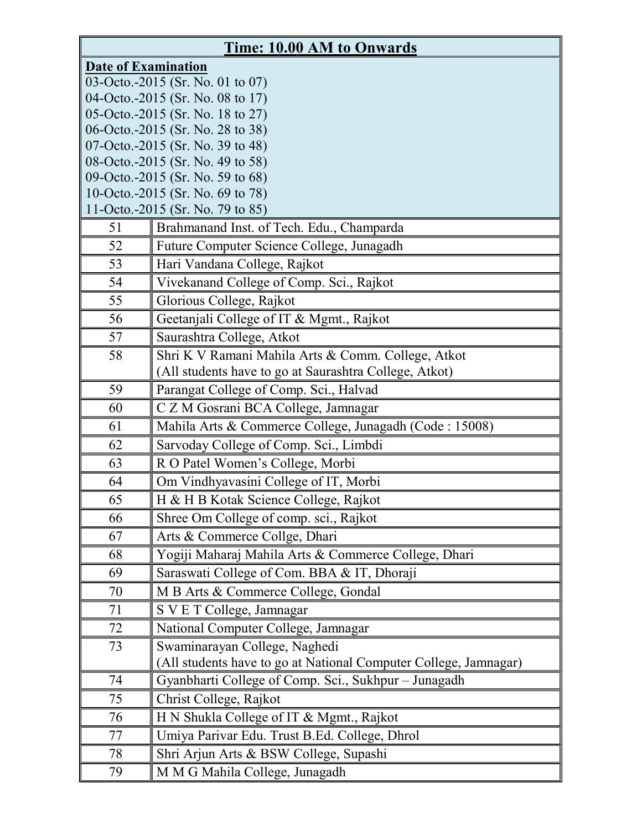| <b>Time: 10.00 AM to Onwards</b>                                     |                                                                  |  |
|----------------------------------------------------------------------|------------------------------------------------------------------|--|
| <b>Date of Examination</b>                                           |                                                                  |  |
| 03-Octo.-2015 (Sr. No. 01 to 07)                                     |                                                                  |  |
|                                                                      | 04-Octo.-2015 (Sr. No. 08 to 17)                                 |  |
| 05-Octo.-2015 (Sr. No. 18 to 27)                                     |                                                                  |  |
| 06-Octo.-2015 (Sr. No. 28 to 38)                                     |                                                                  |  |
| 07-Octo.-2015 (Sr. No. 39 to 48)<br>08-Octo.-2015 (Sr. No. 49 to 58) |                                                                  |  |
| 09-Octo.-2015 (Sr. No. 59 to 68)                                     |                                                                  |  |
| 10-Octo.-2015 (Sr. No. 69 to 78)                                     |                                                                  |  |
|                                                                      | 11-Octo.-2015 (Sr. No. 79 to 85)                                 |  |
| 51                                                                   | Brahmanand Inst. of Tech. Edu., Champarda                        |  |
| 52                                                                   | Future Computer Science College, Junagadh                        |  |
| 53                                                                   | Hari Vandana College, Rajkot                                     |  |
| 54                                                                   | Vivekanand College of Comp. Sci., Rajkot                         |  |
| 55                                                                   | Glorious College, Rajkot                                         |  |
| 56                                                                   | Geetanjali College of IT & Mgmt., Rajkot                         |  |
| 57                                                                   | Saurashtra College, Atkot                                        |  |
| 58                                                                   | Shri K V Ramani Mahila Arts & Comm. College, Atkot               |  |
|                                                                      | (All students have to go at Saurashtra College, Atkot)           |  |
| 59                                                                   | Parangat College of Comp. Sci., Halvad                           |  |
| 60                                                                   | C Z M Gosrani BCA College, Jamnagar                              |  |
| 61                                                                   | Mahila Arts & Commerce College, Junagadh (Code : 15008)          |  |
| 62                                                                   | Sarvoday College of Comp. Sci., Limbdi                           |  |
| 63                                                                   | R O Patel Women's College, Morbi                                 |  |
| 64                                                                   | Om Vindhyavasini College of IT, Morbi                            |  |
| 65                                                                   | H & H B Kotak Science College, Rajkot                            |  |
| 66                                                                   | Shree Om College of comp. sci., Rajkot                           |  |
| 67                                                                   | Arts & Commerce Collge, Dhari                                    |  |
| 68                                                                   | Yogiji Maharaj Mahila Arts & Commerce College, Dhari             |  |
| 69                                                                   | Saraswati College of Com. BBA & IT, Dhoraji                      |  |
| 70                                                                   | M B Arts & Commerce College, Gondal                              |  |
| 71                                                                   | S V E T College, Jamnagar                                        |  |
| 72                                                                   | National Computer College, Jamnagar                              |  |
| 73                                                                   | Swaminarayan College, Naghedi                                    |  |
|                                                                      | (All students have to go at National Computer College, Jamnagar) |  |
| 74                                                                   | Gyanbharti College of Comp. Sci., Sukhpur - Junagadh             |  |
| 75                                                                   | Christ College, Rajkot                                           |  |
| 76                                                                   | H N Shukla College of IT & Mgmt., Rajkot                         |  |
| 77                                                                   | Umiya Parivar Edu. Trust B.Ed. College, Dhrol                    |  |
| 78                                                                   | Shri Arjun Arts & BSW College, Supashi                           |  |
| 79                                                                   | M M G Mahila College, Junagadh                                   |  |